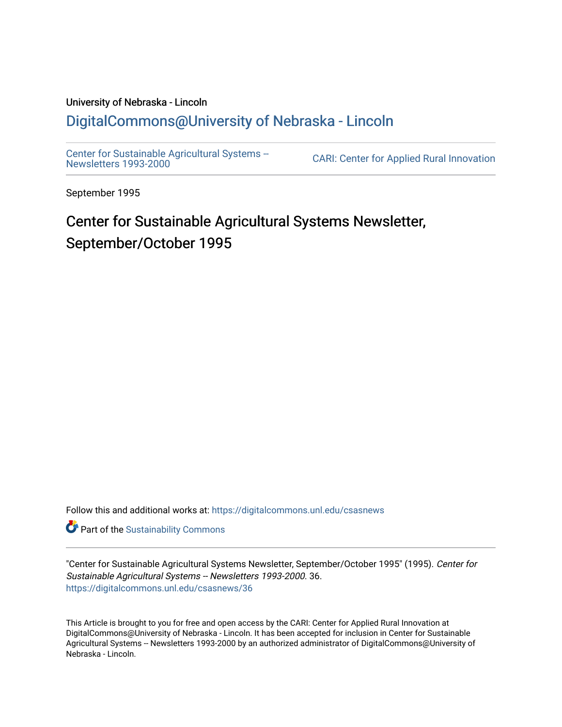# University of Nebraska - Lincoln [DigitalCommons@University of Nebraska - Lincoln](https://digitalcommons.unl.edu/)

[Center for Sustainable Agricultural Systems --](https://digitalcommons.unl.edu/csasnews)<br>Newsletters 1993-2000

CARI: Center for Applied Rural Innovation

September 1995

# Center for Sustainable Agricultural Systems Newsletter, September/October 1995

Follow this and additional works at: [https://digitalcommons.unl.edu/csasnews](https://digitalcommons.unl.edu/csasnews?utm_source=digitalcommons.unl.edu%2Fcsasnews%2F36&utm_medium=PDF&utm_campaign=PDFCoverPages) 

**Part of the [Sustainability Commons](http://network.bepress.com/hgg/discipline/1031?utm_source=digitalcommons.unl.edu%2Fcsasnews%2F36&utm_medium=PDF&utm_campaign=PDFCoverPages)** 

"Center for Sustainable Agricultural Systems Newsletter, September/October 1995" (1995). Center for Sustainable Agricultural Systems -- Newsletters 1993-2000. 36. [https://digitalcommons.unl.edu/csasnews/36](https://digitalcommons.unl.edu/csasnews/36?utm_source=digitalcommons.unl.edu%2Fcsasnews%2F36&utm_medium=PDF&utm_campaign=PDFCoverPages) 

This Article is brought to you for free and open access by the CARI: Center for Applied Rural Innovation at DigitalCommons@University of Nebraska - Lincoln. It has been accepted for inclusion in Center for Sustainable Agricultural Systems -- Newsletters 1993-2000 by an authorized administrator of DigitalCommons@University of Nebraska - Lincoln.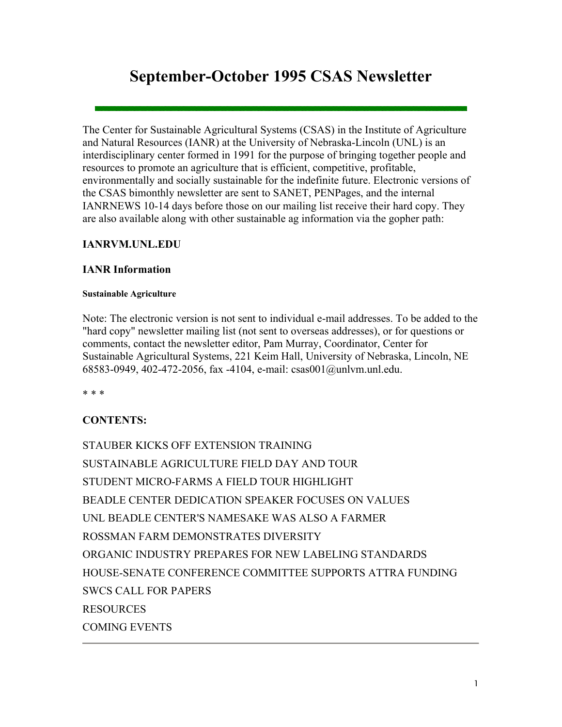# **September-October 1995 CSAS Newsletter**

The Center for Sustainable Agricultural Systems (CSAS) in the Institute of Agriculture and Natural Resources (IANR) at the University of Nebraska-Lincoln (UNL) is an interdisciplinary center formed in 1991 for the purpose of bringing together people and resources to promote an agriculture that is efficient, competitive, profitable, environmentally and socially sustainable for the indefinite future. Electronic versions of the CSAS bimonthly newsletter are sent to SANET, PENPages, and the internal IANRNEWS 10-14 days before those on our mailing list receive their hard copy. They are also available along with other sustainable ag information via the gopher path:

### **IANRVM.UNL.EDU**

#### **IANR Information**

#### **Sustainable Agriculture**

Note: The electronic version is not sent to individual e-mail addresses. To be added to the "hard copy" newsletter mailing list (not sent to overseas addresses), or for questions or comments, contact the newsletter editor, Pam Murray, Coordinator, Center for Sustainable Agricultural Systems, 221 Keim Hall, University of Nebraska, Lincoln, NE 68583-0949, 402-472-2056, fax -4104, e-mail: csas001@unlvm.unl.edu.

\* \* \*

# **CONTENTS:**

STAUBER KICKS OFF EXTENSION TRAINING SUSTAINABLE AGRICULTURE FIELD DAY AND TOUR STUDENT MICRO-FARMS A FIELD TOUR HIGHLIGHT BEADLE CENTER DEDICATION SPEAKER FOCUSES ON VALUES UNL BEADLE CENTER'S NAMESAKE WAS ALSO A FARMER ROSSMAN FARM DEMONSTRATES DIVERSITY ORGANIC INDUSTRY PREPARES FOR NEW LABELING STANDARDS HOUSE-SENATE CONFERENCE COMMITTEE SUPPORTS ATTRA FUNDING SWCS CALL FOR PAPERS RESOURCES COMING EVENTS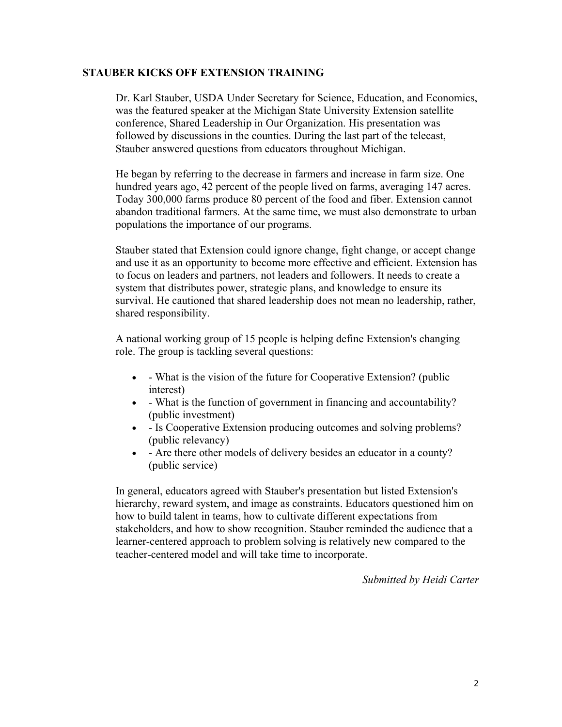#### **STAUBER KICKS OFF EXTENSION TRAINING**

Dr. Karl Stauber, USDA Under Secretary for Science, Education, and Economics, was the featured speaker at the Michigan State University Extension satellite conference, Shared Leadership in Our Organization. His presentation was followed by discussions in the counties. During the last part of the telecast, Stauber answered questions from educators throughout Michigan.

He began by referring to the decrease in farmers and increase in farm size. One hundred years ago, 42 percent of the people lived on farms, averaging 147 acres. Today 300,000 farms produce 80 percent of the food and fiber. Extension cannot abandon traditional farmers. At the same time, we must also demonstrate to urban populations the importance of our programs.

Stauber stated that Extension could ignore change, fight change, or accept change and use it as an opportunity to become more effective and efficient. Extension has to focus on leaders and partners, not leaders and followers. It needs to create a system that distributes power, strategic plans, and knowledge to ensure its survival. He cautioned that shared leadership does not mean no leadership, rather, shared responsibility.

A national working group of 15 people is helping define Extension's changing role. The group is tackling several questions:

- - What is the vision of the future for Cooperative Extension? (public interest)
- - What is the function of government in financing and accountability? (public investment)
- Is Cooperative Extension producing outcomes and solving problems? (public relevancy)
- - Are there other models of delivery besides an educator in a county? (public service)

In general, educators agreed with Stauber's presentation but listed Extension's hierarchy, reward system, and image as constraints. Educators questioned him on how to build talent in teams, how to cultivate different expectations from stakeholders, and how to show recognition. Stauber reminded the audience that a learner-centered approach to problem solving is relatively new compared to the teacher-centered model and will take time to incorporate.

*Submitted by Heidi Carter*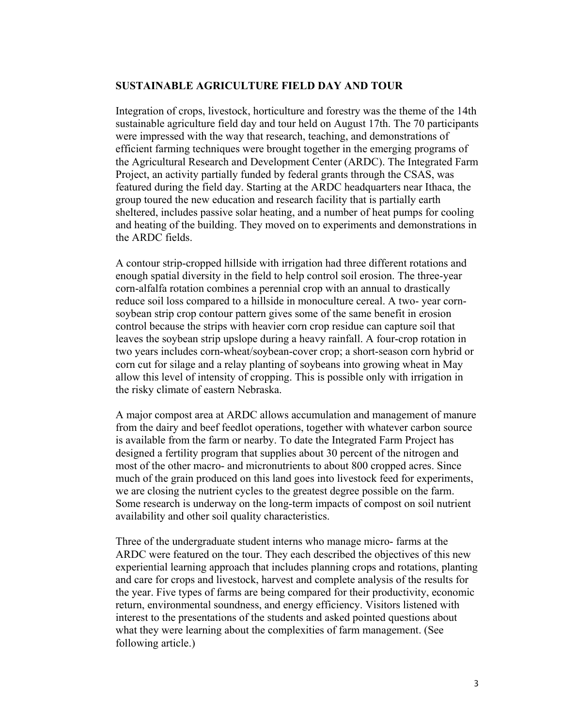#### **SUSTAINABLE AGRICULTURE FIELD DAY AND TOUR**

Integration of crops, livestock, horticulture and forestry was the theme of the 14th sustainable agriculture field day and tour held on August 17th. The 70 participants were impressed with the way that research, teaching, and demonstrations of efficient farming techniques were brought together in the emerging programs of the Agricultural Research and Development Center (ARDC). The Integrated Farm Project, an activity partially funded by federal grants through the CSAS, was featured during the field day. Starting at the ARDC headquarters near Ithaca, the group toured the new education and research facility that is partially earth sheltered, includes passive solar heating, and a number of heat pumps for cooling and heating of the building. They moved on to experiments and demonstrations in the ARDC fields.

A contour strip-cropped hillside with irrigation had three different rotations and enough spatial diversity in the field to help control soil erosion. The three-year corn-alfalfa rotation combines a perennial crop with an annual to drastically reduce soil loss compared to a hillside in monoculture cereal. A two- year cornsoybean strip crop contour pattern gives some of the same benefit in erosion control because the strips with heavier corn crop residue can capture soil that leaves the soybean strip upslope during a heavy rainfall. A four-crop rotation in two years includes corn-wheat/soybean-cover crop; a short-season corn hybrid or corn cut for silage and a relay planting of soybeans into growing wheat in May allow this level of intensity of cropping. This is possible only with irrigation in the risky climate of eastern Nebraska.

A major compost area at ARDC allows accumulation and management of manure from the dairy and beef feedlot operations, together with whatever carbon source is available from the farm or nearby. To date the Integrated Farm Project has designed a fertility program that supplies about 30 percent of the nitrogen and most of the other macro- and micronutrients to about 800 cropped acres. Since much of the grain produced on this land goes into livestock feed for experiments, we are closing the nutrient cycles to the greatest degree possible on the farm. Some research is underway on the long-term impacts of compost on soil nutrient availability and other soil quality characteristics.

Three of the undergraduate student interns who manage micro- farms at the ARDC were featured on the tour. They each described the objectives of this new experiential learning approach that includes planning crops and rotations, planting and care for crops and livestock, harvest and complete analysis of the results for the year. Five types of farms are being compared for their productivity, economic return, environmental soundness, and energy efficiency. Visitors listened with interest to the presentations of the students and asked pointed questions about what they were learning about the complexities of farm management. (See following article.)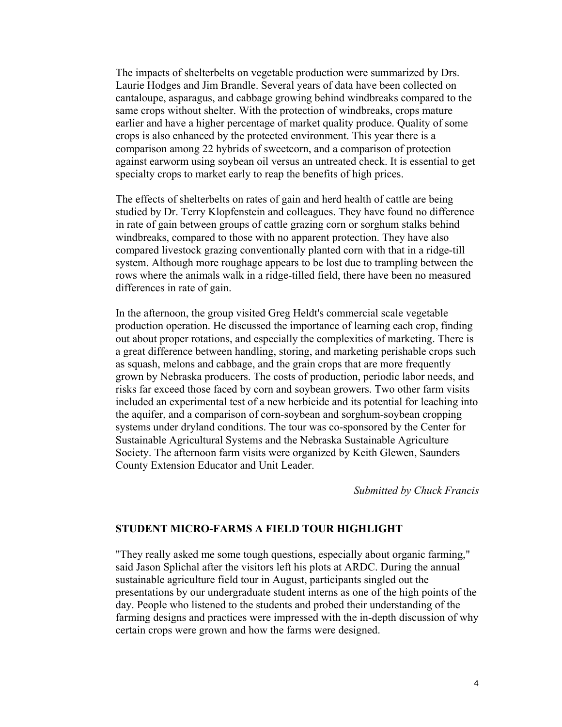The impacts of shelterbelts on vegetable production were summarized by Drs. Laurie Hodges and Jim Brandle. Several years of data have been collected on cantaloupe, asparagus, and cabbage growing behind windbreaks compared to the same crops without shelter. With the protection of windbreaks, crops mature earlier and have a higher percentage of market quality produce. Quality of some crops is also enhanced by the protected environment. This year there is a comparison among 22 hybrids of sweetcorn, and a comparison of protection against earworm using soybean oil versus an untreated check. It is essential to get specialty crops to market early to reap the benefits of high prices.

The effects of shelterbelts on rates of gain and herd health of cattle are being studied by Dr. Terry Klopfenstein and colleagues. They have found no difference in rate of gain between groups of cattle grazing corn or sorghum stalks behind windbreaks, compared to those with no apparent protection. They have also compared livestock grazing conventionally planted corn with that in a ridge-till system. Although more roughage appears to be lost due to trampling between the rows where the animals walk in a ridge-tilled field, there have been no measured differences in rate of gain.

In the afternoon, the group visited Greg Heldt's commercial scale vegetable production operation. He discussed the importance of learning each crop, finding out about proper rotations, and especially the complexities of marketing. There is a great difference between handling, storing, and marketing perishable crops such as squash, melons and cabbage, and the grain crops that are more frequently grown by Nebraska producers. The costs of production, periodic labor needs, and risks far exceed those faced by corn and soybean growers. Two other farm visits included an experimental test of a new herbicide and its potential for leaching into the aquifer, and a comparison of corn-soybean and sorghum-soybean cropping systems under dryland conditions. The tour was co-sponsored by the Center for Sustainable Agricultural Systems and the Nebraska Sustainable Agriculture Society. The afternoon farm visits were organized by Keith Glewen, Saunders County Extension Educator and Unit Leader.

*Submitted by Chuck Francis* 

#### **STUDENT MICRO-FARMS A FIELD TOUR HIGHLIGHT**

"They really asked me some tough questions, especially about organic farming," said Jason Splichal after the visitors left his plots at ARDC. During the annual sustainable agriculture field tour in August, participants singled out the presentations by our undergraduate student interns as one of the high points of the day. People who listened to the students and probed their understanding of the farming designs and practices were impressed with the in-depth discussion of why certain crops were grown and how the farms were designed.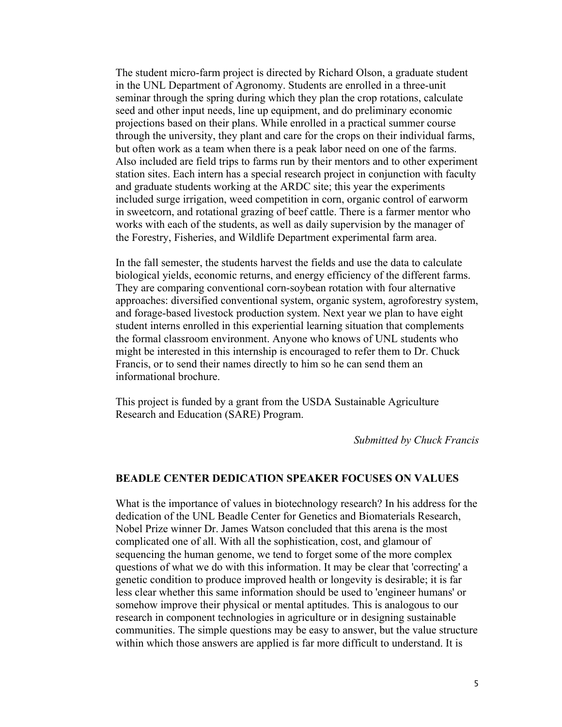The student micro-farm project is directed by Richard Olson, a graduate student in the UNL Department of Agronomy. Students are enrolled in a three-unit seminar through the spring during which they plan the crop rotations, calculate seed and other input needs, line up equipment, and do preliminary economic projections based on their plans. While enrolled in a practical summer course through the university, they plant and care for the crops on their individual farms, but often work as a team when there is a peak labor need on one of the farms. Also included are field trips to farms run by their mentors and to other experiment station sites. Each intern has a special research project in conjunction with faculty and graduate students working at the ARDC site; this year the experiments included surge irrigation, weed competition in corn, organic control of earworm in sweetcorn, and rotational grazing of beef cattle. There is a farmer mentor who works with each of the students, as well as daily supervision by the manager of the Forestry, Fisheries, and Wildlife Department experimental farm area.

In the fall semester, the students harvest the fields and use the data to calculate biological yields, economic returns, and energy efficiency of the different farms. They are comparing conventional corn-soybean rotation with four alternative approaches: diversified conventional system, organic system, agroforestry system, and forage-based livestock production system. Next year we plan to have eight student interns enrolled in this experiential learning situation that complements the formal classroom environment. Anyone who knows of UNL students who might be interested in this internship is encouraged to refer them to Dr. Chuck Francis, or to send their names directly to him so he can send them an informational brochure.

This project is funded by a grant from the USDA Sustainable Agriculture Research and Education (SARE) Program.

*Submitted by Chuck Francis* 

#### **BEADLE CENTER DEDICATION SPEAKER FOCUSES ON VALUES**

What is the importance of values in biotechnology research? In his address for the dedication of the UNL Beadle Center for Genetics and Biomaterials Research, Nobel Prize winner Dr. James Watson concluded that this arena is the most complicated one of all. With all the sophistication, cost, and glamour of sequencing the human genome, we tend to forget some of the more complex questions of what we do with this information. It may be clear that 'correcting' a genetic condition to produce improved health or longevity is desirable; it is far less clear whether this same information should be used to 'engineer humans' or somehow improve their physical or mental aptitudes. This is analogous to our research in component technologies in agriculture or in designing sustainable communities. The simple questions may be easy to answer, but the value structure within which those answers are applied is far more difficult to understand. It is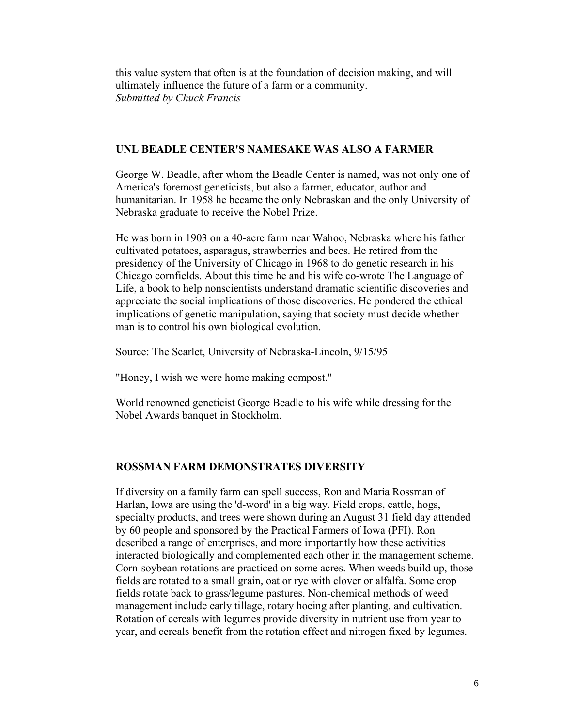this value system that often is at the foundation of decision making, and will ultimately influence the future of a farm or a community. *Submitted by Chuck Francis*

#### **UNL BEADLE CENTER'S NAMESAKE WAS ALSO A FARMER**

George W. Beadle, after whom the Beadle Center is named, was not only one of America's foremost geneticists, but also a farmer, educator, author and humanitarian. In 1958 he became the only Nebraskan and the only University of Nebraska graduate to receive the Nobel Prize.

He was born in 1903 on a 40-acre farm near Wahoo, Nebraska where his father cultivated potatoes, asparagus, strawberries and bees. He retired from the presidency of the University of Chicago in 1968 to do genetic research in his Chicago cornfields. About this time he and his wife co-wrote The Language of Life, a book to help nonscientists understand dramatic scientific discoveries and appreciate the social implications of those discoveries. He pondered the ethical implications of genetic manipulation, saying that society must decide whether man is to control his own biological evolution.

Source: The Scarlet, University of Nebraska-Lincoln, 9/15/95

"Honey, I wish we were home making compost."

World renowned geneticist George Beadle to his wife while dressing for the Nobel Awards banquet in Stockholm.

## **ROSSMAN FARM DEMONSTRATES DIVERSITY**

If diversity on a family farm can spell success, Ron and Maria Rossman of Harlan, Iowa are using the 'd-word' in a big way. Field crops, cattle, hogs, specialty products, and trees were shown during an August 31 field day attended by 60 people and sponsored by the Practical Farmers of Iowa (PFI). Ron described a range of enterprises, and more importantly how these activities interacted biologically and complemented each other in the management scheme. Corn-soybean rotations are practiced on some acres. When weeds build up, those fields are rotated to a small grain, oat or rye with clover or alfalfa. Some crop fields rotate back to grass/legume pastures. Non-chemical methods of weed management include early tillage, rotary hoeing after planting, and cultivation. Rotation of cereals with legumes provide diversity in nutrient use from year to year, and cereals benefit from the rotation effect and nitrogen fixed by legumes.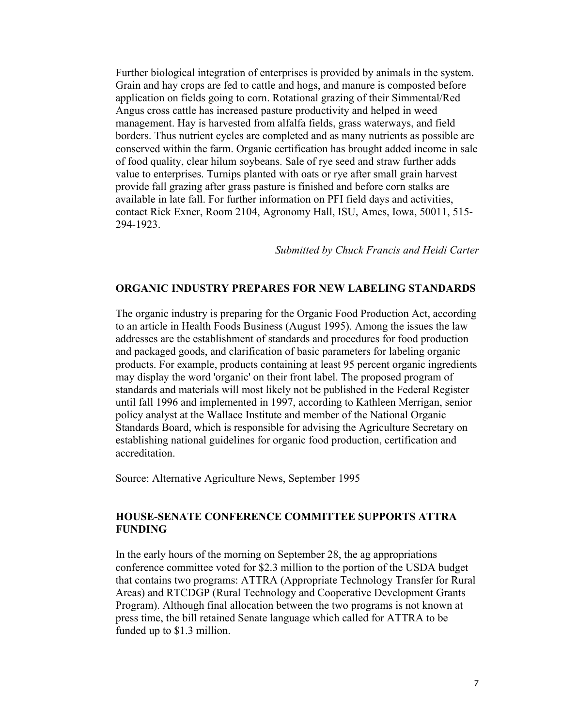Further biological integration of enterprises is provided by animals in the system. Grain and hay crops are fed to cattle and hogs, and manure is composted before application on fields going to corn. Rotational grazing of their Simmental/Red Angus cross cattle has increased pasture productivity and helped in weed management. Hay is harvested from alfalfa fields, grass waterways, and field borders. Thus nutrient cycles are completed and as many nutrients as possible are conserved within the farm. Organic certification has brought added income in sale of food quality, clear hilum soybeans. Sale of rye seed and straw further adds value to enterprises. Turnips planted with oats or rye after small grain harvest provide fall grazing after grass pasture is finished and before corn stalks are available in late fall. For further information on PFI field days and activities, contact Rick Exner, Room 2104, Agronomy Hall, ISU, Ames, Iowa, 50011, 515- 294-1923.

*Submitted by Chuck Francis and Heidi Carter* 

#### **ORGANIC INDUSTRY PREPARES FOR NEW LABELING STANDARDS**

The organic industry is preparing for the Organic Food Production Act, according to an article in Health Foods Business (August 1995). Among the issues the law addresses are the establishment of standards and procedures for food production and packaged goods, and clarification of basic parameters for labeling organic products. For example, products containing at least 95 percent organic ingredients may display the word 'organic' on their front label. The proposed program of standards and materials will most likely not be published in the Federal Register until fall 1996 and implemented in 1997, according to Kathleen Merrigan, senior policy analyst at the Wallace Institute and member of the National Organic Standards Board, which is responsible for advising the Agriculture Secretary on establishing national guidelines for organic food production, certification and accreditation.

Source: Alternative Agriculture News, September 1995

### **HOUSE-SENATE CONFERENCE COMMITTEE SUPPORTS ATTRA FUNDING**

In the early hours of the morning on September 28, the ag appropriations conference committee voted for \$2.3 million to the portion of the USDA budget that contains two programs: ATTRA (Appropriate Technology Transfer for Rural Areas) and RTCDGP (Rural Technology and Cooperative Development Grants Program). Although final allocation between the two programs is not known at press time, the bill retained Senate language which called for ATTRA to be funded up to \$1.3 million.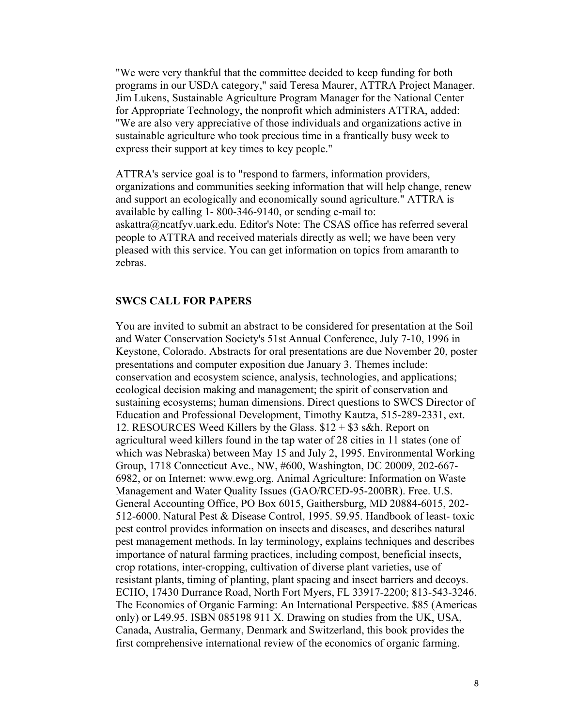"We were very thankful that the committee decided to keep funding for both programs in our USDA category," said Teresa Maurer, ATTRA Project Manager. Jim Lukens, Sustainable Agriculture Program Manager for the National Center for Appropriate Technology, the nonprofit which administers ATTRA, added: "We are also very appreciative of those individuals and organizations active in sustainable agriculture who took precious time in a frantically busy week to express their support at key times to key people."

ATTRA's service goal is to "respond to farmers, information providers, organizations and communities seeking information that will help change, renew and support an ecologically and economically sound agriculture." ATTRA is available by calling 1- 800-346-9140, or sending e-mail to: askattra@ncatfyv.uark.edu. Editor's Note: The CSAS office has referred several people to ATTRA and received materials directly as well; we have been very pleased with this service. You can get information on topics from amaranth to zebras.

#### **SWCS CALL FOR PAPERS**

You are invited to submit an abstract to be considered for presentation at the Soil and Water Conservation Society's 51st Annual Conference, July 7-10, 1996 in Keystone, Colorado. Abstracts for oral presentations are due November 20, poster presentations and computer exposition due January 3. Themes include: conservation and ecosystem science, analysis, technologies, and applications; ecological decision making and management; the spirit of conservation and sustaining ecosystems; human dimensions. Direct questions to SWCS Director of Education and Professional Development, Timothy Kautza, 515-289-2331, ext. 12. RESOURCES Weed Killers by the Glass.  $$12 + $3$  s&h. Report on agricultural weed killers found in the tap water of 28 cities in 11 states (one of which was Nebraska) between May 15 and July 2, 1995. Environmental Working Group, 1718 Connecticut Ave., NW, #600, Washington, DC 20009, 202-667- 6982, or on Internet: www.ewg.org. Animal Agriculture: Information on Waste Management and Water Quality Issues (GAO/RCED-95-200BR). Free. U.S. General Accounting Office, PO Box 6015, Gaithersburg, MD 20884-6015, 202- 512-6000. Natural Pest & Disease Control, 1995. \$9.95. Handbook of least- toxic pest control provides information on insects and diseases, and describes natural pest management methods. In lay terminology, explains techniques and describes importance of natural farming practices, including compost, beneficial insects, crop rotations, inter-cropping, cultivation of diverse plant varieties, use of resistant plants, timing of planting, plant spacing and insect barriers and decoys. ECHO, 17430 Durrance Road, North Fort Myers, FL 33917-2200; 813-543-3246. The Economics of Organic Farming: An International Perspective. \$85 (Americas only) or L49.95. ISBN 085198 911 X. Drawing on studies from the UK, USA, Canada, Australia, Germany, Denmark and Switzerland, this book provides the first comprehensive international review of the economics of organic farming.